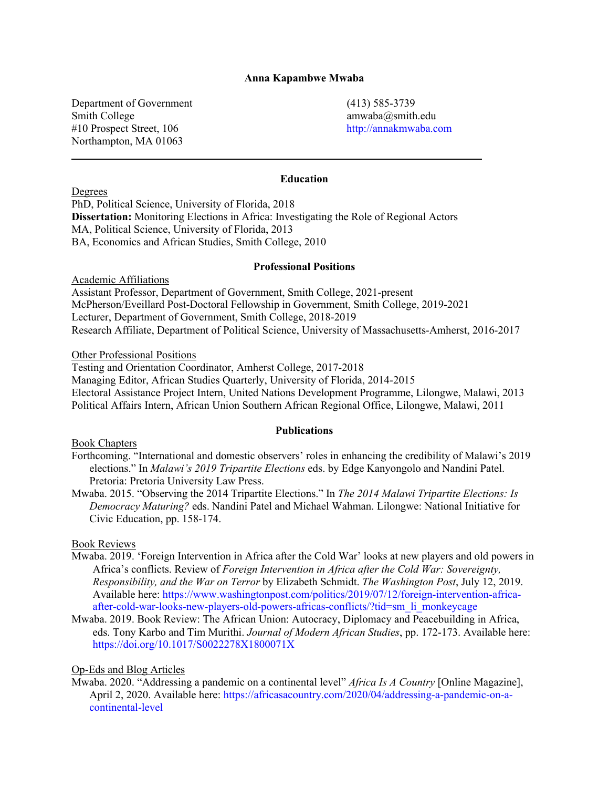## **Anna Kapambwe Mwaba**

Department of Government (413) 585-3739 Smith College amwaba@smith.edu #10 Prospect Street, 106 http://annakmwaba.com Northampton, MA 01063

## **Education**

Degrees

PhD, Political Science, University of Florida, 2018 **Dissertation:** Monitoring Elections in Africa: Investigating the Role of Regional Actors MA, Political Science, University of Florida, 2013 BA, Economics and African Studies, Smith College, 2010

**\_\_\_\_\_\_\_\_\_\_\_\_\_\_\_\_\_\_\_\_\_\_\_\_\_\_\_\_\_\_\_\_\_\_\_\_\_\_\_\_\_\_\_\_\_\_\_\_\_\_\_\_\_\_\_\_\_\_\_\_\_\_\_\_\_\_\_\_\_\_\_\_\_\_\_**

#### **Professional Positions**

Academic Affiliations Assistant Professor, Department of Government, Smith College, 2021-present McPherson/Eveillard Post-Doctoral Fellowship in Government, Smith College, 2019-2021 Lecturer, Department of Government, Smith College, 2018-2019 Research Affiliate, Department of Political Science, University of Massachusetts-Amherst, 2016-2017

Other Professional Positions

Testing and Orientation Coordinator, Amherst College, 2017-2018 Managing Editor, African Studies Quarterly, University of Florida, 2014-2015 Electoral Assistance Project Intern, United Nations Development Programme, Lilongwe, Malawi, 2013 Political Affairs Intern, African Union Southern African Regional Office, Lilongwe, Malawi, 2011

## **Publications**

Book Chapters

- Forthcoming. "International and domestic observers' roles in enhancing the credibility of Malawi's 2019 elections." In *Malawi's 2019 Tripartite Elections* eds. by Edge Kanyongolo and Nandini Patel. Pretoria: Pretoria University Law Press.
- Mwaba. 2015. "Observing the 2014 Tripartite Elections." In *The 2014 Malawi Tripartite Elections: Is Democracy Maturing?* eds. Nandini Patel and Michael Wahman. Lilongwe: National Initiative for Civic Education, pp. 158-174.

Book Reviews

- Mwaba. 2019. 'Foreign Intervention in Africa after the Cold War' looks at new players and old powers in Africa's conflicts. Review of *Foreign Intervention in Africa after the Cold War: Sovereignty, Responsibility, and the War on Terror* by Elizabeth Schmidt. *The Washington Post*, July 12, 2019. Available here: https://www.washingtonpost.com/politics/2019/07/12/foreign-intervention-africaafter-cold-war-looks-new-players-old-powers-africas-conflicts/?tid=sm\_li\_monkeycage
- Mwaba. 2019. Book Review: The African Union: Autocracy, Diplomacy and Peacebuilding in Africa, eds. Tony Karbo and Tim Murithi. *Journal of Modern African Studies*, pp. 172-173. Available here: https://doi.org/10.1017/S0022278X1800071X

## Op-Eds and Blog Articles

Mwaba. 2020. "Addressing a pandemic on a continental level" *Africa Is A Country* [Online Magazine], April 2, 2020. Available here: https://africasacountry.com/2020/04/addressing-a-pandemic-on-acontinental-level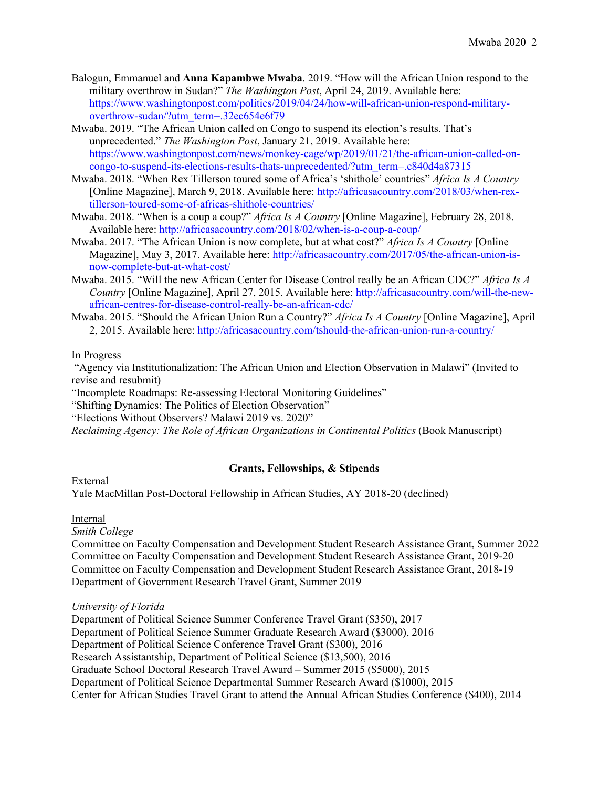- Balogun, Emmanuel and **Anna Kapambwe Mwaba**. 2019. "How will the African Union respond to the military overthrow in Sudan?" *The Washington Post*, April 24, 2019. Available here: https://www.washingtonpost.com/politics/2019/04/24/how-will-african-union-respond-militaryoverthrow-sudan/?utm\_term=.32ec654e6f79
- Mwaba. 2019. "The African Union called on Congo to suspend its election's results. That's unprecedented." *The Washington Post*, January 21, 2019. Available here: https://www.washingtonpost.com/news/monkey-cage/wp/2019/01/21/the-african-union-called-oncongo-to-suspend-its-elections-results-thats-unprecedented/?utm\_term=.c840d4a87315
- Mwaba. 2018. "When Rex Tillerson toured some of Africa's 'shithole' countries" *Africa Is A Country* [Online Magazine], March 9, 2018. Available here: http://africasacountry.com/2018/03/when-rextillerson-toured-some-of-africas-shithole-countries/
- Mwaba. 2018. "When is a coup a coup?" *Africa Is A Country* [Online Magazine], February 28, 2018. Available here: http://africasacountry.com/2018/02/when-is-a-coup-a-coup/
- Mwaba. 2017. "The African Union is now complete, but at what cost?" *Africa Is A Country* [Online Magazine], May 3, 2017. Available here: http://africasacountry.com/2017/05/the-african-union-isnow-complete-but-at-what-cost/
- Mwaba. 2015. "Will the new African Center for Disease Control really be an African CDC?" *Africa Is A Country* [Online Magazine], April 27, 2015. Available here: http://africasacountry.com/will-the-newafrican-centres-for-disease-control-really-be-an-african-cdc/
- Mwaba. 2015. "Should the African Union Run a Country?" *Africa Is A Country* [Online Magazine], April 2, 2015. Available here: http://africasacountry.com/tshould-the-african-union-run-a-country/

## In Progress

"Agency via Institutionalization: The African Union and Election Observation in Malawi" (Invited to revise and resubmit)

"Incomplete Roadmaps: Re-assessing Electoral Monitoring Guidelines"

"Shifting Dynamics: The Politics of Election Observation"

"Elections Without Observers? Malawi 2019 vs. 2020"

*Reclaiming Agency: The Role of African Organizations in Continental Politics* (Book Manuscript)

## **Grants, Fellowships, & Stipends**

## External

Yale MacMillan Post-Doctoral Fellowship in African Studies, AY 2018-20 (declined)

## Internal

## *Smith College*

Committee on Faculty Compensation and Development Student Research Assistance Grant, Summer 2022 Committee on Faculty Compensation and Development Student Research Assistance Grant, 2019-20 Committee on Faculty Compensation and Development Student Research Assistance Grant, 2018-19 Department of Government Research Travel Grant, Summer 2019

## *University of Florida*

Department of Political Science Summer Conference Travel Grant (\$350), 2017 Department of Political Science Summer Graduate Research Award (\$3000), 2016 Department of Political Science Conference Travel Grant (\$300), 2016 Research Assistantship, Department of Political Science (\$13,500), 2016 Graduate School Doctoral Research Travel Award – Summer 2015 (\$5000), 2015 Department of Political Science Departmental Summer Research Award (\$1000), 2015 Center for African Studies Travel Grant to attend the Annual African Studies Conference (\$400), 2014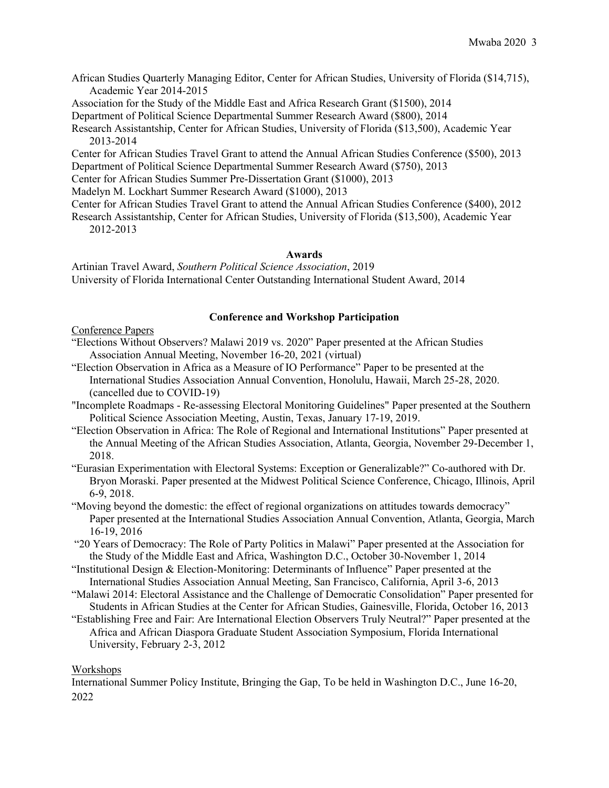- African Studies Quarterly Managing Editor, Center for African Studies, University of Florida (\$14,715), Academic Year 2014-2015
- Association for the Study of the Middle East and Africa Research Grant (\$1500), 2014
- Department of Political Science Departmental Summer Research Award (\$800), 2014
- Research Assistantship, Center for African Studies, University of Florida (\$13,500), Academic Year 2013-2014
- Center for African Studies Travel Grant to attend the Annual African Studies Conference (\$500), 2013 Department of Political Science Departmental Summer Research Award (\$750), 2013
- Center for African Studies Summer Pre-Dissertation Grant (\$1000), 2013

Madelyn M. Lockhart Summer Research Award (\$1000), 2013

- Center for African Studies Travel Grant to attend the Annual African Studies Conference (\$400), 2012
- Research Assistantship, Center for African Studies, University of Florida (\$13,500), Academic Year 2012-2013

#### **Awards**

Artinian Travel Award, *Southern Political Science Association*, 2019 University of Florida International Center Outstanding International Student Award, 2014

## **Conference and Workshop Participation**

## Conference Papers

- "Elections Without Observers? Malawi 2019 vs. 2020" Paper presented at the African Studies Association Annual Meeting, November 16-20, 2021 (virtual)
- "Election Observation in Africa as a Measure of IO Performance" Paper to be presented at the International Studies Association Annual Convention, Honolulu, Hawaii, March 25-28, 2020. (cancelled due to COVID-19)
- "Incomplete Roadmaps Re-assessing Electoral Monitoring Guidelines" Paper presented at the Southern Political Science Association Meeting, Austin, Texas, January 17-19, 2019.
- "Election Observation in Africa: The Role of Regional and International Institutions" Paper presented at the Annual Meeting of the African Studies Association, Atlanta, Georgia, November 29-December 1, 2018.
- "Eurasian Experimentation with Electoral Systems: Exception or Generalizable?" Co-authored with Dr. Bryon Moraski. Paper presented at the Midwest Political Science Conference, Chicago, Illinois, April 6-9, 2018.
- "Moving beyond the domestic: the effect of regional organizations on attitudes towards democracy" Paper presented at the International Studies Association Annual Convention, Atlanta, Georgia, March 16-19, 2016
- "20 Years of Democracy: The Role of Party Politics in Malawi" Paper presented at the Association for the Study of the Middle East and Africa, Washington D.C., October 30-November 1, 2014
- "Institutional Design & Election-Monitoring: Determinants of Influence" Paper presented at the International Studies Association Annual Meeting, San Francisco, California, April 3-6, 2013
- "Malawi 2014: Electoral Assistance and the Challenge of Democratic Consolidation" Paper presented for Students in African Studies at the Center for African Studies, Gainesville, Florida, October 16, 2013
- "Establishing Free and Fair: Are International Election Observers Truly Neutral?" Paper presented at the Africa and African Diaspora Graduate Student Association Symposium, Florida International University, February 2-3, 2012

## **Workshops**

International Summer Policy Institute, Bringing the Gap, To be held in Washington D.C., June 16-20, 2022